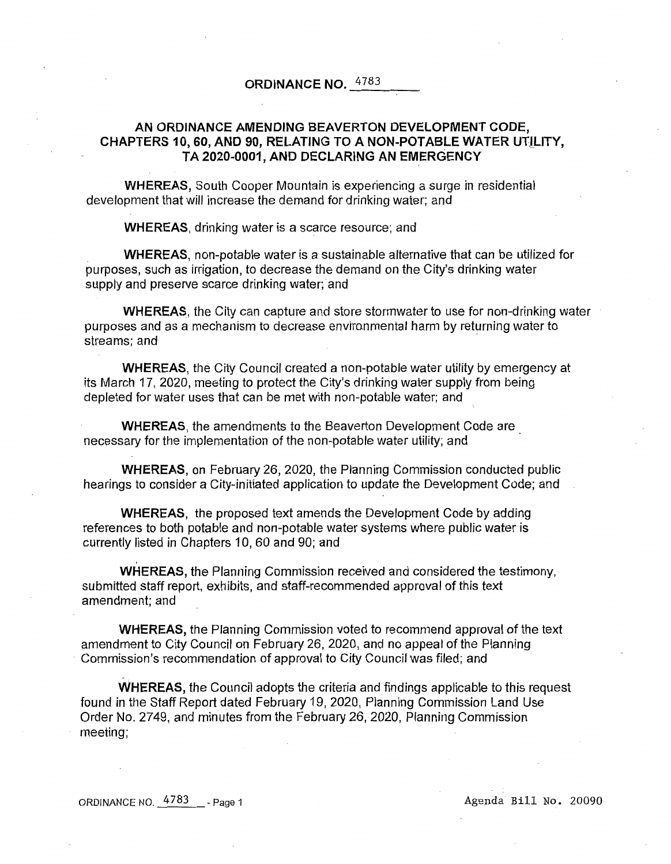# **ORDINANCE NO.** 4783  $-4783$

# **AN ORDINANCE AMENDING BEAVERTON DEVELOPMENT CODE, CHAPTERS 10, 60, AND 90, RELATING TO A NON-POTABLE WATER UTILITY, TA 2020-0001, AND DECLARING AN EMERGENCY**

**WHEREAS,** South Cooper Mountain is experiencing a surge in residential development that will increase the demand for drinking water; and

**WHEREAS,** drinking water is a scarce resource; and

**WHEREAS,** non-potable water is a sustainable alternative that can be utilized for purposes, such as irrigation, to decrease the demand on the City's drinking water supply and preserve scarce drinking water; and

**WHEREAS,** the City can capture and store stormwater to use for non-drinking water purposes and as a mechanism to decrease environmental harm by returning water to streams; and

**WHEREAS,** the City Council created a non-potable water utility by emergency at its March 17, 2020, meeting to protect the City's drinking water supply from being depleted for water uses that can be met with non-potable water; and

**WHEREAS,** the amendments to the Beaverton Development Code are . necessary for the implementation of the non-potable water utility; and

**WHEREAS,** on February 26, 2020, the Planning Commission conducted public hearings to consider a City-initiated application to update the Development Code; and

**WHEREAS,** the proposed text amends the Development Code by adding references to both potable and non-potable water systems where public water is currently listed in Chapters 10, 60 and 90; and

**WHEREAS,** the Planning Commission received and considered the testimony, submitted staff report, exhibits, and staff-recommended approval of this text amendment; and

**WHEREAS,** the Planning Commission voted to recommend approval of the text amendment to City Council on February 26, 2020, and no appeal of the Planning · Commission's recommendation of approval to City Council was filed; and

**WHEREAS,** the Council adopts the criteria and findings applicable to this request found in the Staff Report dated February 19, 2020, Planning Commission Land Use Order No. 2749, and minutes from the February 26, 2020, Planning Commission meeting;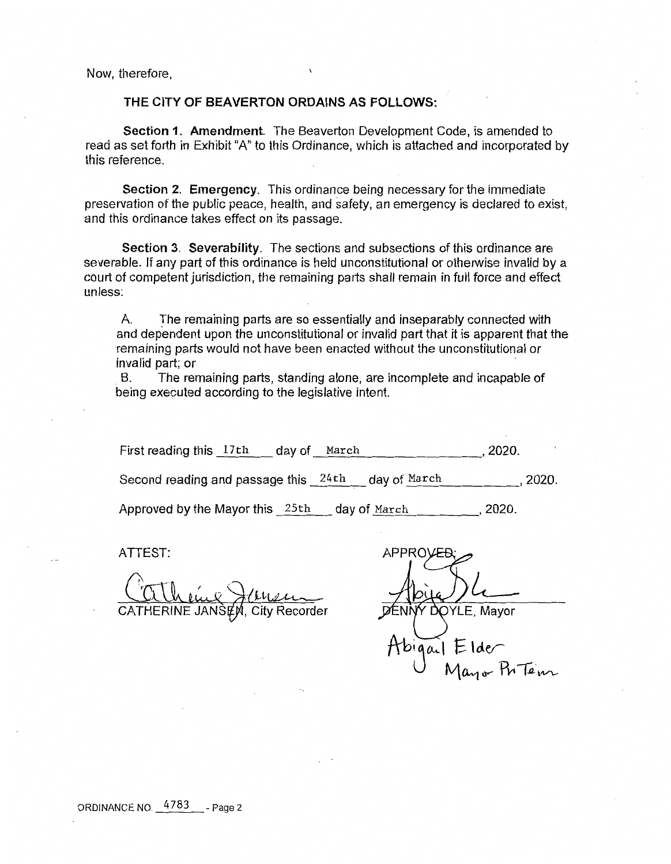Now, therefore,

# **THE CITY OF BEAVERTON ORDAINS AS FOLLOWS:**

**Section 1. Amendment.** The Beaverton Development Code, is amended to read as set forth in Exhibit "A" to this Ordinance, which is attached and incorporated by this reference.

**Section 2. Emergency.** This ordinance being necessary for the immediate preservation of the public peace, health, and safety, an emergency is declared to exist, and this ordinance takes effect on its passage.

**Section 3. Severability.** The sections and subsections of this ordinance are severable. If any part of this ordinance is held unconstitutional or otherwise invalid by a court of competent jurisdiction, the remaining parts shall remain in full force and effect unless:

A. The remaining parts are so essentially and inseparably connected with and dependent upon the unconstitutional or invalid part that it is apparent that the remaining parts would not have been enacted without the unconstitutional or invalid part; or

B. The remaining parts, standing alone, are incomplete and incapable of being executed according to the legislative intent.

| First reading this 17th              | dav of | March |              | 2020.   |         |
|--------------------------------------|--------|-------|--------------|---------|---------|
| Second reading and passage this 24th |        |       | day of March |         | . 2020. |
| Approved by the Mayor this 25th      |        |       | day of March | . 2020. |         |

ATTEST:

 $t$ lusu Recorder

**APPRO OYLE, Mayor** Elder<br>Mayor Ph Tem

ORDINANCE NO. 4783 - Page 2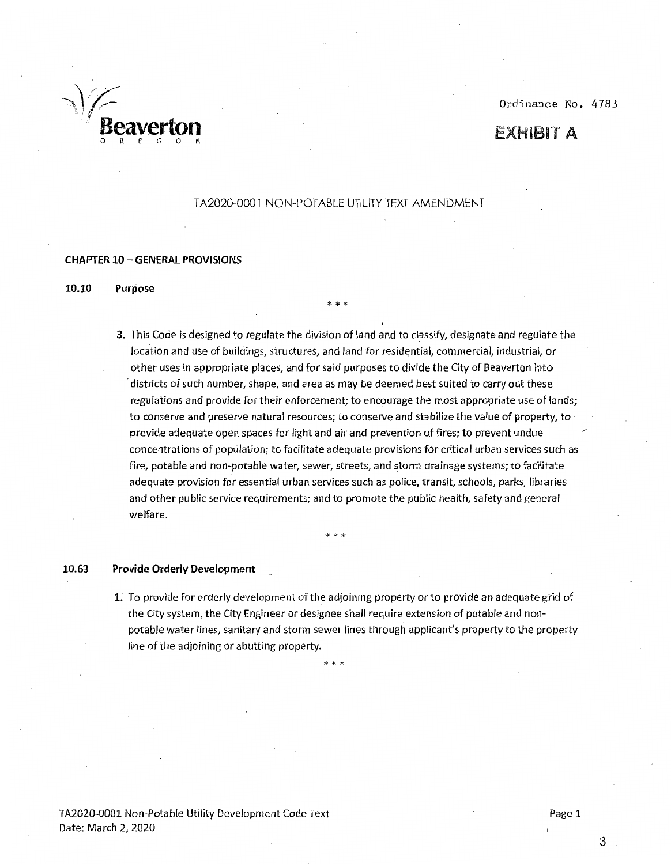~,~/·~- *j,:f'--* Ordinance No. 4783

# EXHIBIT A

# TA2020-0001 NON-POTABLE UTILITY TEXT AMENDMENT

\*\*\*

## **CHAPTER 10 - GENERAL PROVISIONS**

· '· **Beaverton** 

**10.10 Purpose** 

**3.** This Code is designed to regulate the division of land and to classify, designate and regulate the location and use of buildings, structures, and land for residential, commercial, industrial, or other uses in appropriate places, and for said purposes to divide the City of Beaverton into ·districts of such number, shape, and area as may be deemed best suited to carry out these regulations and provide for their enforcement; to encourage the most appropriate use of lands; to conserve and preserve natural resources; to conserve and stabilize the value of property, to provide adequate open spaces for light and air and prevention of fires; to prevent undue concentrations of population; to facilitate adequate provisions for critical urban services such as fire, potable and non-potable water, sewer, streets, and storm drainage systems; to facilitate adequate provision for essential urban services such as police, transit, schools, parks, libraries and other public service requirements; and to promote the public health, safety and general welfare.

\* \* \*

# **10.63 Provide Orderly Development**

**1.** To provide for orderly development of the adjoining property or to provide an adequate grid of the City system, the City Engineer or designee shall require extension of potable and nonpotable water lines, sanitary and storm sewer fines through applicant's property to the property fine of the adjoining or abutting property.

\* \* \*